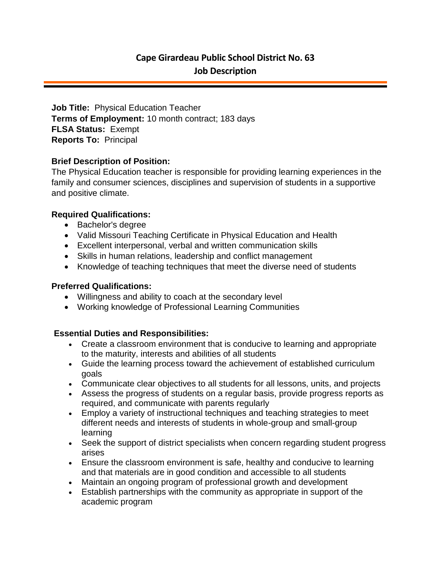# **Cape Girardeau Public School District No. 63 Job Description**

**Job Title:** Physical Education Teacher **Terms of Employment:** 10 month contract; 183 days **FLSA Status:** Exempt **Reports To:** Principal

### **Brief Description of Position:**

The Physical Education teacher is responsible for providing learning experiences in the family and consumer sciences, disciplines and supervision of students in a supportive and positive climate.

### **Required Qualifications:**

- Bachelor's degree
- Valid Missouri Teaching Certificate in Physical Education and Health
- Excellent interpersonal, verbal and written communication skills
- Skills in human relations, leadership and conflict management
- Knowledge of teaching techniques that meet the diverse need of students

#### **Preferred Qualifications:**

- Willingness and ability to coach at the secondary level
- Working knowledge of Professional Learning Communities

## **Essential Duties and Responsibilities:**

- Create a classroom environment that is conducive to learning and appropriate to the maturity, interests and abilities of all students
- Guide the learning process toward the achievement of established curriculum goals
- Communicate clear objectives to all students for all lessons, units, and projects
- Assess the progress of students on a regular basis, provide progress reports as required, and communicate with parents regularly
- Employ a variety of instructional techniques and teaching strategies to meet different needs and interests of students in whole-group and small-group learning
- Seek the support of district specialists when concern regarding student progress arises
- Ensure the classroom environment is safe, healthy and conducive to learning and that materials are in good condition and accessible to all students
- Maintain an ongoing program of professional growth and development
- Establish partnerships with the community as appropriate in support of the academic program